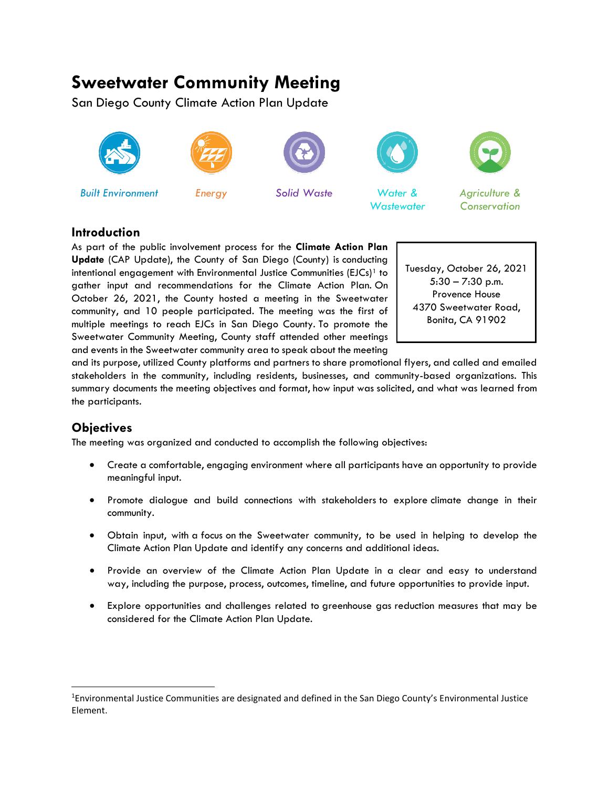# **Sweetwater Community Meeting**

San Diego County Climate Action Plan Update













*Built Environment Energy Solid Waste Water & Wastewater*



*Agriculture & Conservation*

## **Introduction**

As part of the public involvement process for the **Climate Action Plan Update** (CAP Update), the County of San Diego (County) is conducting intentional engagement with Environmental Justice Communities (EJCs)<sup>[1](#page-0-0)</sup> to gather input and recommendations for the Climate Action Plan. On October 26, 2021, the County hosted a meeting in the Sweetwater community, and 10 people participated. The meeting was the first of multiple meetings to reach EJCs in San Diego County. To promote the Sweetwater Community Meeting, County staff attended other meetings and events in the Sweetwater community area to speak about the meeting



and its purpose, utilized County platforms and partners to share promotional flyers, and called and emailed stakeholders in the community, including residents, businesses, and community-based organizations. This summary documents the meeting objectives and format, how input was solicited, and what was learned from the participants.

## **Objectives**

The meeting was organized and conducted to accomplish the following objectives:

- Create a comfortable, engaging environment where all participants have an opportunity to provide meaningful input.
- Promote dialogue and build connections with stakeholders to explore climate change in their community.
- Obtain input, with a focus on the Sweetwater community, to be used in helping to develop the Climate Action Plan Update and identify any concerns and additional ideas.
- Provide an overview of the Climate Action Plan Update in a clear and easy to understand way, including the purpose, process, outcomes, timeline, and future opportunities to provide input.
- Explore opportunities and challenges related to greenhouse gas reduction measures that may be considered for the Climate Action Plan Update.

<span id="page-0-0"></span><sup>&</sup>lt;sup>1</sup>Environmental Justice Communities are designated and defined in the San Diego County's Environmental Justice Element.